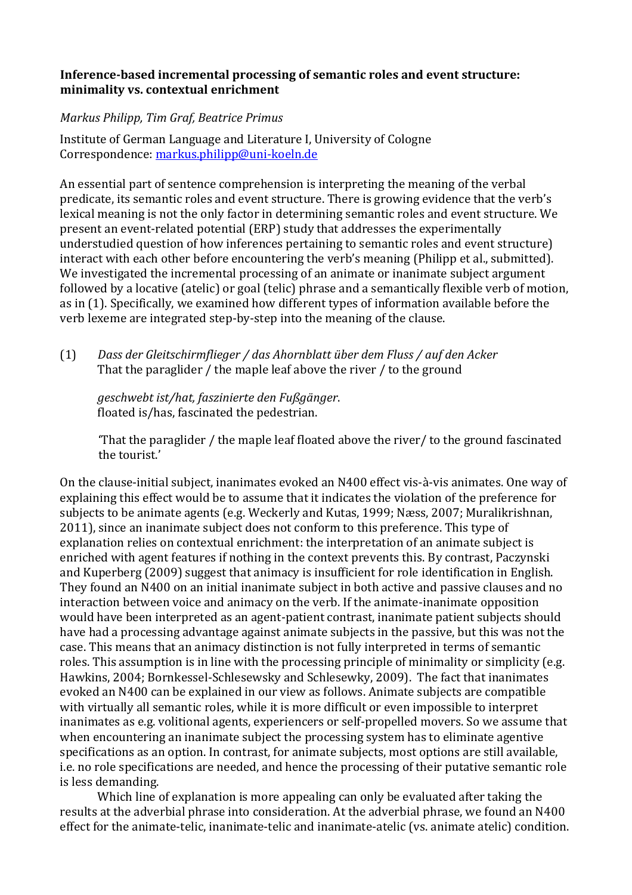## **Inference-based incremental processing of semantic roles and event structure:** minimality vs. contextual enrichment

## *Markus Philipp, Tim Graf, Beatrice Primus*

Institute of German Language and Literature I, University of Cologne Correspondence: markus.philipp@uni-koeln.de

An essential part of sentence comprehension is interpreting the meaning of the verbal predicate, its semantic roles and event structure. There is growing evidence that the verb's lexical meaning is not the only factor in determining semantic roles and event structure. We present an event-related potential (ERP) study that addresses the experimentally understudied question of how inferences pertaining to semantic roles and event structure) interact with each other before encountering the verb's meaning (Philipp et al., submitted). We investigated the incremental processing of an animate or inanimate subject argument followed by a locative (atelic) or goal (telic) phrase and a semantically flexible verb of motion, as in (1). Specifically, we examined how different types of information available before the verb lexeme are integrated step-by-step into the meaning of the clause.

(1) *Dass der Gleitschirmflieger / das Ahornblatt über dem Fluss / auf den Acker* That the paraglider  $/$  the maple leaf above the river  $/$  to the ground

*geschwebt ist/hat, faszinierte den Fußgänger*. floated is/has, fascinated the pedestrian.

"That the paraglider  $/$  the maple leaf floated above the river $/$  to the ground fascinated the tourist'

On the clause-initial subject, inanimates evoked an N400 effect vis-à-vis animates. One way of explaining this effect would be to assume that it indicates the violation of the preference for subjects to be animate agents (e.g. Weckerly and Kutas, 1999; Næss, 2007; Muralikrishnan, 2011), since an inanimate subject does not conform to this preference. This type of explanation relies on contextual enrichment: the interpretation of an animate subject is enriched with agent features if nothing in the context prevents this. By contrast, Paczynski and Kuperberg (2009) suggest that animacy is insufficient for role identification in English. They found an N400 on an initial inanimate subject in both active and passive clauses and no interaction between voice and animacy on the verb. If the animate-inanimate opposition would have been interpreted as an agent-patient contrast, inanimate patient subjects should have had a processing advantage against animate subjects in the passive, but this was not the case. This means that an animacy distinction is not fully interpreted in terms of semantic roles. This assumption is in line with the processing principle of minimality or simplicity (e.g. Hawkins, 2004; Bornkessel-Schlesewsky and Schlesewky, 2009). The fact that inanimates evoked an N400 can be explained in our view as follows. Animate subjects are compatible with virtually all semantic roles, while it is more difficult or even impossible to interpret inanimates as e.g. volitional agents, experiencers or self-propelled movers. So we assume that when encountering an inanimate subject the processing system has to eliminate agentive specifications as an option. In contrast, for animate subjects, most options are still available, i.e. no role specifications are needed, and hence the processing of their putative semantic role is less demanding.

Which line of explanation is more appealing can only be evaluated after taking the results at the adverbial phrase into consideration. At the adverbial phrase, we found an N400 effect for the animate-telic, inanimate-telic and inanimate-atelic (vs. animate atelic) condition.